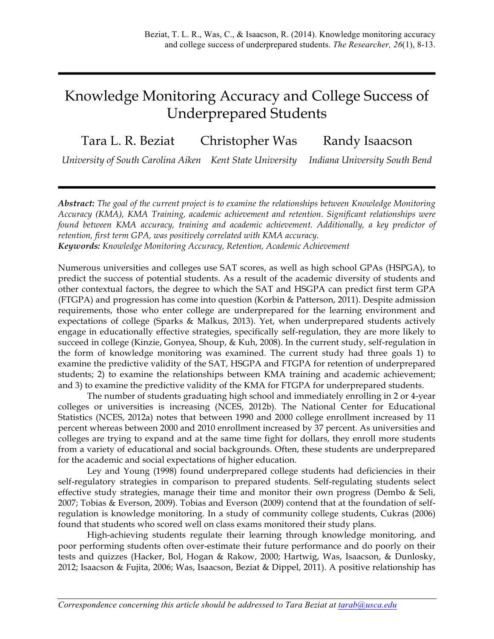# Knowledge Monitoring Accuracy and College Success of Underprepared Students

Tara L. R. Beziat Christopher Was Randy Isaacson

*University of South Carolina Aiken Kent State University Indiana University South Bend*

*Abstract: The goal of the current project is to examine the relationships between Knowledge Monitoring Accuracy (KMA), KMA Training, academic achievement and retention. Significant relationships were found between KMA accuracy, training and academic achievement. Additionally, a key predictor of retention, first term GPA, was positively correlated with KMA accuracy.* 

*Keywords: Knowledge Monitoring Accuracy, Retention, Academic Achievement*

Numerous universities and colleges use SAT scores, as well as high school GPAs (HSPGA), to predict the success of potential students. As a result of the academic diversity of students and other contextual factors, the degree to which the SAT and HSGPA can predict first term GPA (FTGPA) and progression has come into question (Korbin & Patterson, 2011). Despite admission requirements, those who enter college are underprepared for the learning environment and expectations of college (Sparks & Malkus, 2013). Yet, when underprepared students actively engage in educationally effective strategies, specifically self-regulation, they are more likely to succeed in college (Kinzie, Gonyea, Shoup, & Kuh, 2008). In the current study, self-regulation in the form of knowledge monitoring was examined. The current study had three goals 1) to examine the predictive validity of the SAT, HSGPA and FTGPA for retention of underprepared students; 2) to examine the relationships between KMA training and academic achievement; and 3) to examine the predictive validity of the KMA for FTGPA for underprepared students.

The number of students graduating high school and immediately enrolling in 2 or 4-year colleges or universities is increasing (NCES, 2012b). The National Center for Educational Statistics (NCES, 2012a) notes that between 1990 and 2000 college enrollment increased by 11 percent whereas between 2000 and 2010 enrollment increased by 37 percent. As universities and colleges are trying to expand and at the same time fight for dollars, they enroll more students from a variety of educational and social backgrounds. Often, these students are underprepared for the academic and social expectations of higher education.

Ley and Young (1998) found underprepared college students had deficiencies in their self-regulatory strategies in comparison to prepared students. Self-regulating students select effective study strategies, manage their time and monitor their own progress (Dembo & Seli, 2007; Tobias & Everson, 2009). Tobias and Everson (2009) contend that at the foundation of selfregulation is knowledge monitoring. In a study of community college students, Cukras (2006) found that students who scored well on class exams monitored their study plans.

High-achieving students regulate their learning through knowledge monitoring, and poor performing students often over-estimate their future performance and do poorly on their tests and quizzes (Hacker, Bol, Hogan & Rakow, 2000; Hartwig, Was, Isaacson, & Dunlosky, 2012; Isaacson & Fujita, 2006; Was, Isaacson, Beziat & Dippel, 2011). A positive relationship has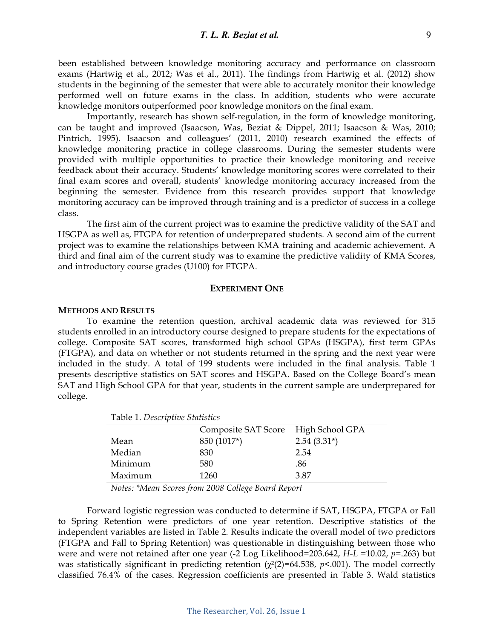been established between knowledge monitoring accuracy and performance on classroom exams (Hartwig et al., 2012; Was et al., 2011). The findings from Hartwig et al. (2012) show students in the beginning of the semester that were able to accurately monitor their knowledge performed well on future exams in the class. In addition, students who were accurate knowledge monitors outperformed poor knowledge monitors on the final exam.

Importantly, research has shown self-regulation, in the form of knowledge monitoring, can be taught and improved (Isaacson, Was, Beziat & Dippel, 2011; Isaacson & Was, 2010; Pintrich, 1995). Isaacson and colleagues' (2011, 2010) research examined the effects of knowledge monitoring practice in college classrooms. During the semester students were provided with multiple opportunities to practice their knowledge monitoring and receive feedback about their accuracy. Students' knowledge monitoring scores were correlated to their final exam scores and overall, students' knowledge monitoring accuracy increased from the beginning the semester. Evidence from this research provides support that knowledge monitoring accuracy can be improved through training and is a predictor of success in a college class.

The first aim of the current project was to examine the predictive validity of the SAT and HSGPA as well as, FTGPA for retention of underprepared students. A second aim of the current project was to examine the relationships between KMA training and academic achievement. A third and final aim of the current study was to examine the predictive validity of KMA Scores, and introductory course grades (U100) for FTGPA.

# **EXPERIMENT ONE**

#### **METHODS AND RESULTS**

To examine the retention question, archival academic data was reviewed for 315 students enrolled in an introductory course designed to prepare students for the expectations of college. Composite SAT scores, transformed high school GPAs (HSGPA), first term GPAs (FTGPA), and data on whether or not students returned in the spring and the next year were included in the study. A total of 199 students were included in the final analysis. Table 1 presents descriptive statistics on SAT scores and HSGPA. Based on the College Board's mean SAT and High School GPA for that year, students in the current sample are underprepared for college.

|         | Composite SAT Score | High School GPA |
|---------|---------------------|-----------------|
| Mean    | 850 (1017*)         | $2.54(3.31*)$   |
| Median  | 830                 | 2.54            |
| Minimum | 580                 | .86             |
| Maximum | 1260                | 3.87            |

Table 1. *Descriptive Statistics*

*Notes: \*Mean Scores from 2008 College Board Report*

Forward logistic regression was conducted to determine if SAT, HSGPA, FTGPA or Fall to Spring Retention were predictors of one year retention. Descriptive statistics of the independent variables are listed in Table 2. Results indicate the overall model of two predictors (FTGPA and Fall to Spring Retention) was questionable in distinguishing between those who were and were not retained after one year (-2 Log Likelihood=203.642, *H-L* =10.02, *p*=.263) but was statistically significant in predicting retention (χ²(2)=64.538, *p*<.001). The model correctly classified 76.4% of the cases. Regression coefficients are presented in Table 3. Wald statistics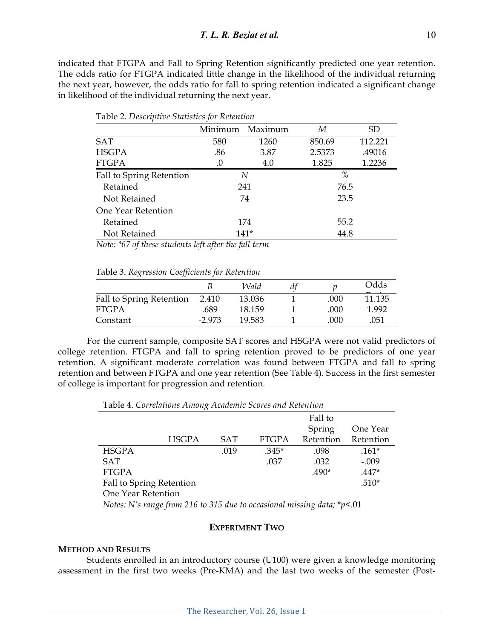indicated that FTGPA and Fall to Spring Retention significantly predicted one year retention. The odds ratio for FTGPA indicated little change in the likelihood of the individual returning the next year, however, the odds ratio for fall to spring retention indicated a significant change in likelihood of the individual returning the next year.

|                          | Minimum | Maximum | М      | SD.     |  |
|--------------------------|---------|---------|--------|---------|--|
| <b>SAT</b>               | 580     | 1260    | 850.69 | 112.221 |  |
| <b>HSGPA</b>             | .86     | 3.87    | 2.5373 | .49016  |  |
| <b>FTGPA</b>             | .0      | 4.0     | 1.825  | 1.2236  |  |
| Fall to Spring Retention | N       |         | $\%$   |         |  |
| Retained                 | 241     |         | 76.5   |         |  |
| Not Retained             | 74      |         | 23.5   |         |  |
| One Year Retention       |         |         |        |         |  |
| Retained                 | 174     |         | 55.2   |         |  |
| Not Retained             | $141*$  |         | 44.8   |         |  |

Table 2. *Descriptive Statistics for Retention*

*Note: \*67 of these students left after the fall term*

|  | Table 3. Regression Coefficients for Retention |  |
|--|------------------------------------------------|--|
|  |                                                |  |

|                          |          | Wald   |      | Odds   |
|--------------------------|----------|--------|------|--------|
| Fall to Spring Retention | 2.410    | 13.036 | .000 | 11.135 |
| <b>FTGPA</b>             | .689     | 18.159 | .000 | 1.992  |
| Constant                 | $-2.973$ | 19.583 | .000 | .051   |

For the current sample, composite SAT scores and HSGPA were not valid predictors of college retention. FTGPA and fall to spring retention proved to be predictors of one year retention. A significant moderate correlation was found between FTGPA and fall to spring retention and between FTGPA and one year retention (See Table 4). Success in the first semester of college is important for progression and retention.

Table 4. *Correlations Among Academic Scores and Retention* 

|                          |            |              | Fall to   |           |
|--------------------------|------------|--------------|-----------|-----------|
|                          |            |              | Spring    | One Year  |
| <b>HSGPA</b>             | <b>SAT</b> | <b>FTGPA</b> | Retention | Retention |
| <b>HSGPA</b>             | .019       | $.345*$      | .098      | $.161*$   |
| <b>SAT</b>               |            | .037         | .032      | $-.009$   |
| <b>FTGPA</b>             |            |              | $.490*$   | $.447*$   |
| Fall to Spring Retention |            |              |           | $.510*$   |
| One Year Retention       |            |              |           |           |

*Notes: N's range from 216 to 315 due to occasional missing data;* \**p*<.01

# **EXPERIMENT TWO**

## **METHOD AND RESULTS**

Students enrolled in an introductory course (U100) were given a knowledge monitoring assessment in the first two weeks (Pre-KMA) and the last two weeks of the semester (Post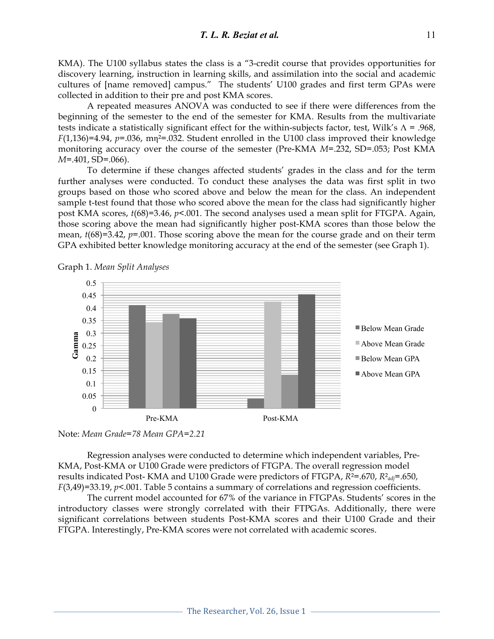KMA). The U100 syllabus states the class is a "3-credit course that provides opportunities for discovery learning, instruction in learning skills, and assimilation into the social and academic cultures of [name removed] campus." The students' U100 grades and first term GPAs were collected in addition to their pre and post KMA scores.

A repeated measures ANOVA was conducted to see if there were differences from the beginning of the semester to the end of the semester for KMA. Results from the multivariate tests indicate a statistically significant effect for the within-subjects factor, test, Wilk's  $\Lambda$  = .968, *F*(1,136)=4.94, *p*=.036, mη²=.032. Student enrolled in the U100 class improved their knowledge monitoring accuracy over the course of the semester (Pre-KMA *M*=.232, SD=.053; Post KMA *M*=.401, SD=.066).

To determine if these changes affected students' grades in the class and for the term further analyses were conducted. To conduct these analyses the data was first split in two groups based on those who scored above and below the mean for the class. An independent sample t-test found that those who scored above the mean for the class had significantly higher post KMA scores, *t*(68)=3.46, *p*<.001. The second analyses used a mean split for FTGPA. Again, those scoring above the mean had significantly higher post-KMA scores than those below the mean, *t*(68)=3.42, *p*=.001. Those scoring above the mean for the course grade and on their term GPA exhibited better knowledge monitoring accuracy at the end of the semester (see Graph 1).



Graph 1. *Mean Split Analyses*



Regression analyses were conducted to determine which independent variables, Pre-KMA, Post-KMA or U100 Grade were predictors of FTGPA. The overall regression model results indicated Post- KMA and U100 Grade were predictors of FTGPA, *R*²=.670, *R*²*adj*=.650, *F*(3,49)=33.19, *p*<.001. Table 5 contains a summary of correlations and regression coefficients.

The current model accounted for 67% of the variance in FTGPAs. Students' scores in the introductory classes were strongly correlated with their FTPGAs. Additionally, there were significant correlations between students Post-KMA scores and their U100 Grade and their FTGPA. Interestingly, Pre-KMA scores were not correlated with academic scores.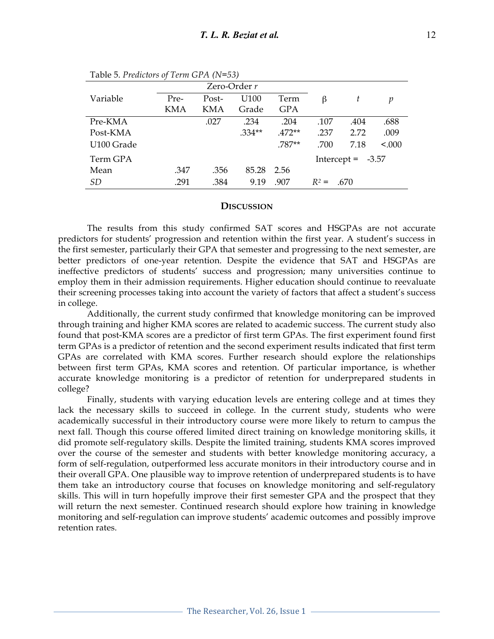|            |            | Zero-Order $r$ |                  |          |         |                     |        |
|------------|------------|----------------|------------------|----------|---------|---------------------|--------|
| Variable   | Pre-       | Post-          | U <sub>100</sub> | Term     | ß       | t                   | p      |
|            | <b>KMA</b> | KMA            | Grade            | GPA      |         |                     |        |
| Pre-KMA    |            | .027           | .234             | .204     | .107    | .404                | .688   |
| Post-KMA   |            |                | $.334**$         | $.472**$ | .237    | 2.72                | .009   |
| U100 Grade |            |                |                  | .787**   | .700    | 7.18                | < .000 |
| Term GPA   |            |                |                  |          |         | Intercept = $-3.57$ |        |
| Mean       | .347       | .356           | 85.28            | 2.56     |         |                     |        |
| <i>SD</i>  | .291       | .384           | 9.19             | .907     | $R^2 =$ | .670                |        |

Table 5. *Predictors of Term GPA (N=53)*

#### **DISCUSSION**

The results from this study confirmed SAT scores and HSGPAs are not accurate predictors for students' progression and retention within the first year. A student's success in the first semester, particularly their GPA that semester and progressing to the next semester, are better predictors of one-year retention. Despite the evidence that SAT and HSGPAs are ineffective predictors of students' success and progression; many universities continue to employ them in their admission requirements. Higher education should continue to reevaluate their screening processes taking into account the variety of factors that affect a student's success in college.

Additionally, the current study confirmed that knowledge monitoring can be improved through training and higher KMA scores are related to academic success. The current study also found that post-KMA scores are a predictor of first term GPAs. The first experiment found first term GPAs is a predictor of retention and the second experiment results indicated that first term GPAs are correlated with KMA scores. Further research should explore the relationships between first term GPAs, KMA scores and retention. Of particular importance, is whether accurate knowledge monitoring is a predictor of retention for underprepared students in college?

Finally, students with varying education levels are entering college and at times they lack the necessary skills to succeed in college. In the current study, students who were academically successful in their introductory course were more likely to return to campus the next fall. Though this course offered limited direct training on knowledge monitoring skills, it did promote self-regulatory skills. Despite the limited training, students KMA scores improved over the course of the semester and students with better knowledge monitoring accuracy, a form of self-regulation, outperformed less accurate monitors in their introductory course and in their overall GPA. One plausible way to improve retention of underprepared students is to have them take an introductory course that focuses on knowledge monitoring and self-regulatory skills. This will in turn hopefully improve their first semester GPA and the prospect that they will return the next semester. Continued research should explore how training in knowledge monitoring and self-regulation can improve students' academic outcomes and possibly improve retention rates.